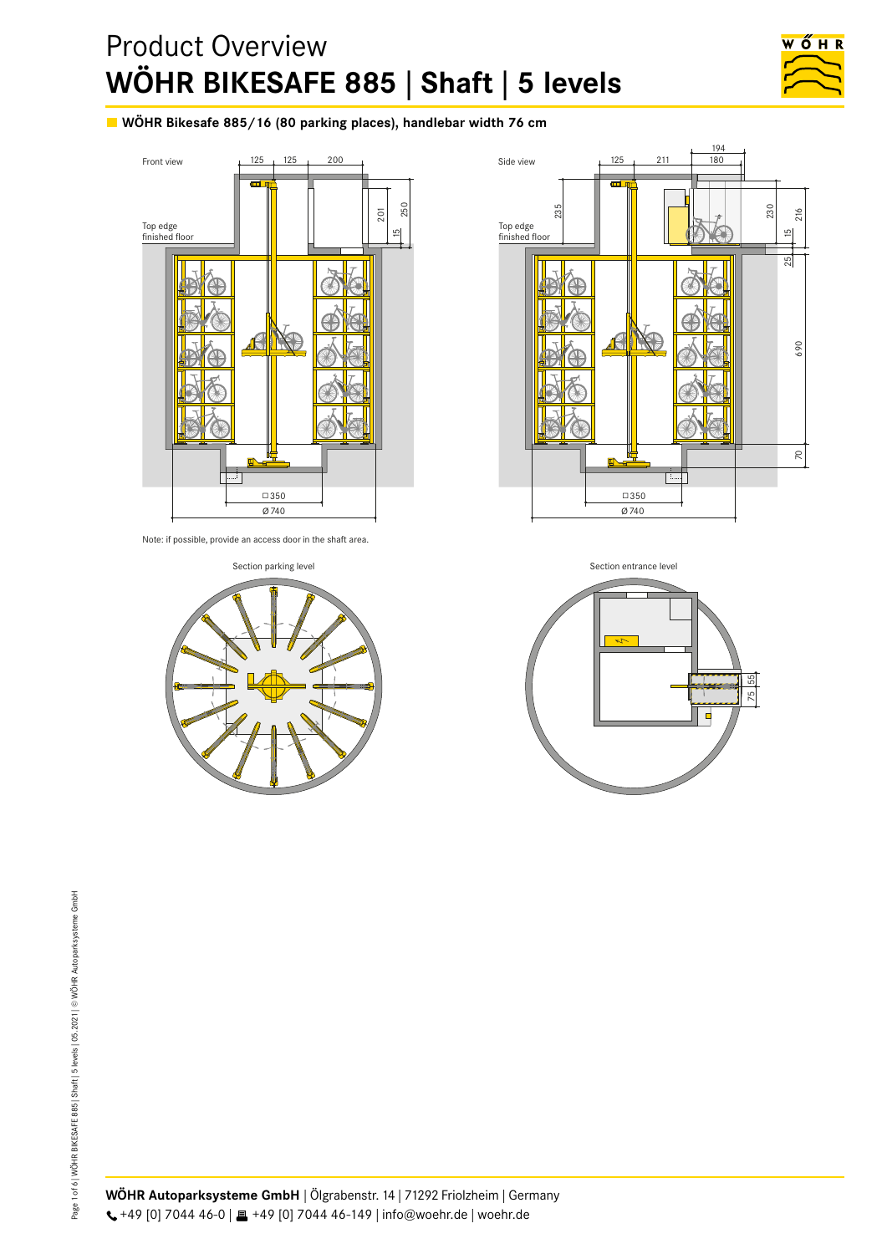# Product Overview **WÖHR BIKESAFE 885 | Shaft | 5 levels WÖHR Bikesafe 885/16 (80 parking places, 5 levels) shaft version, handlebar width max. 76 cm**



WÖHR Bikesafe 885/16 (80 parking places), handlebar width 76 cm



Note: if possible, provide an access door in the shaft area.





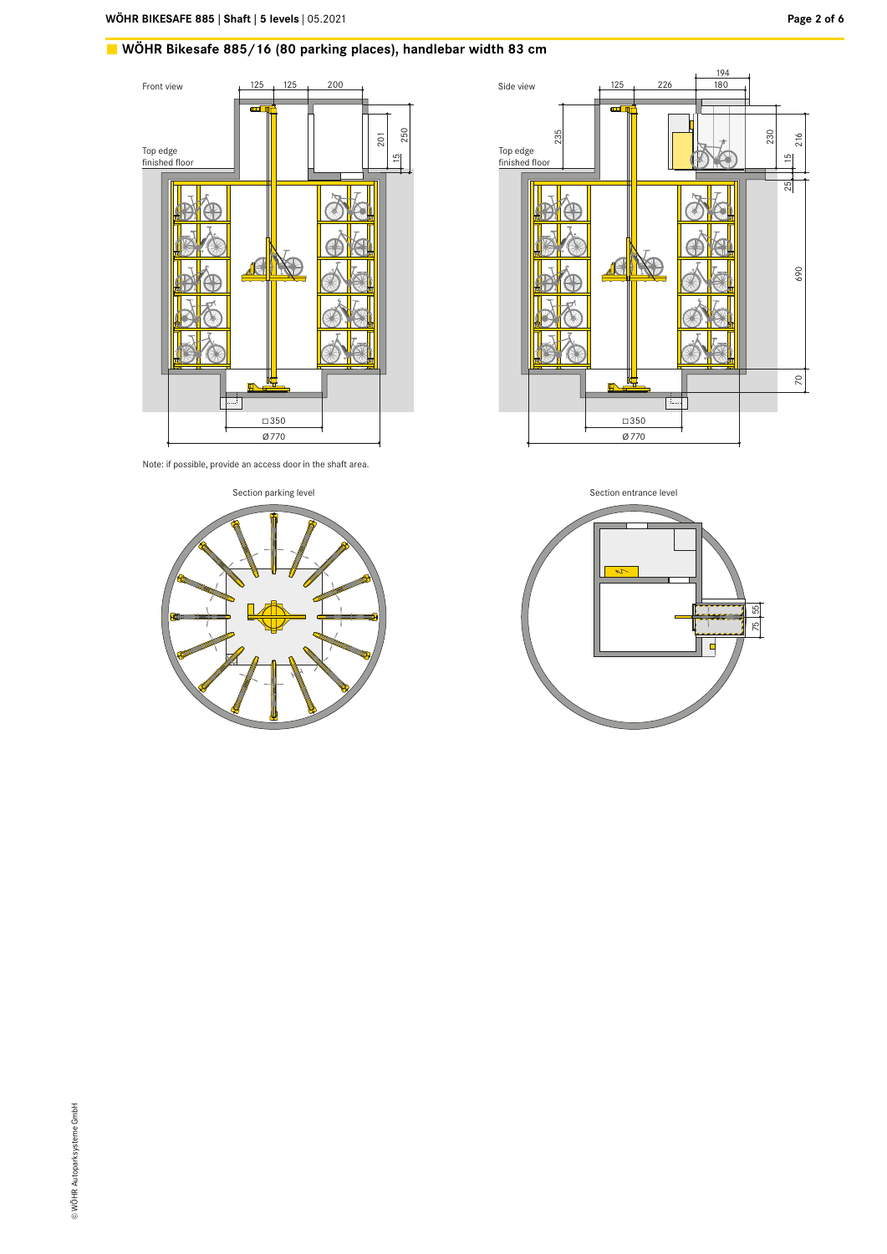# WÖHR Bikesafe 885/16 (80 parking places), handlebar width 83 cm







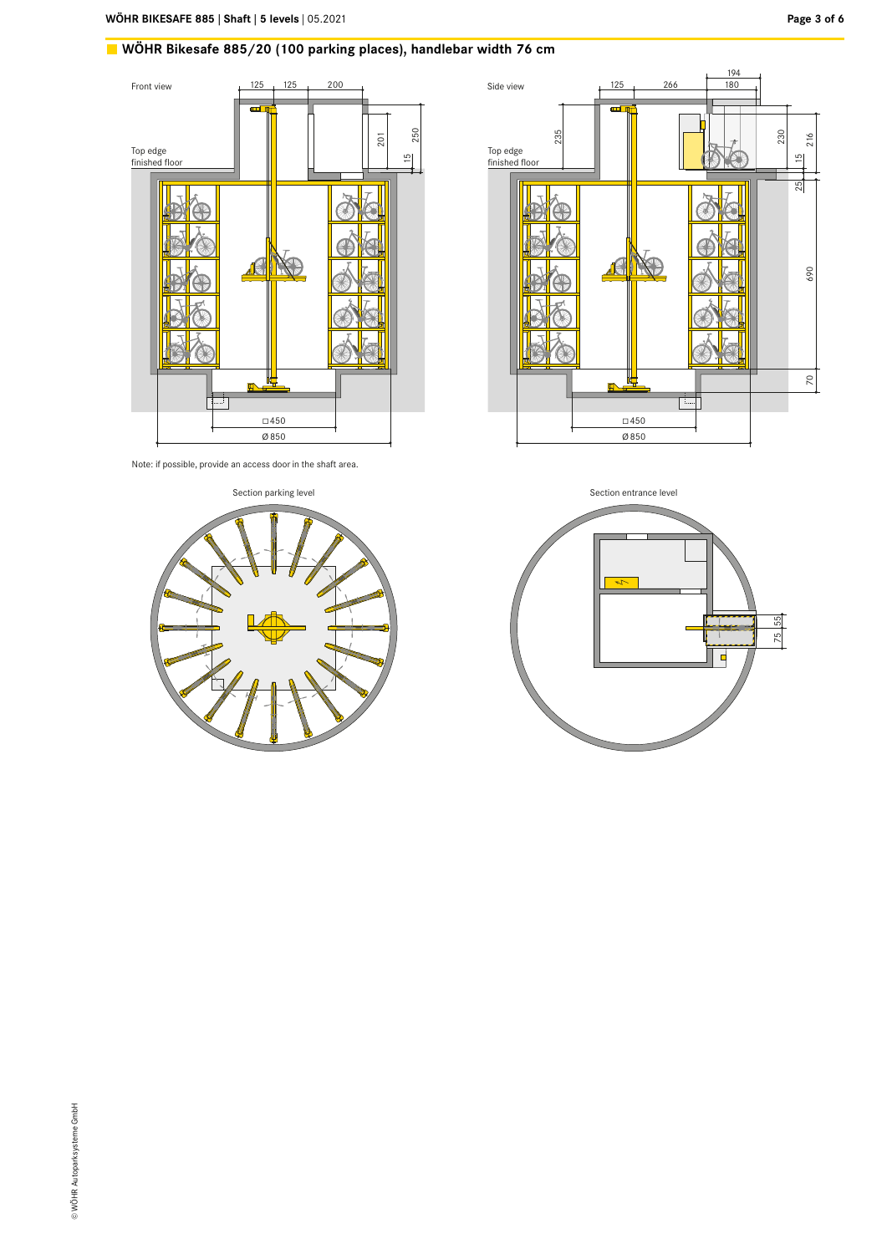# WÖHR Bikesafe 885/20 (100 parking places), handlebar width 76 cm







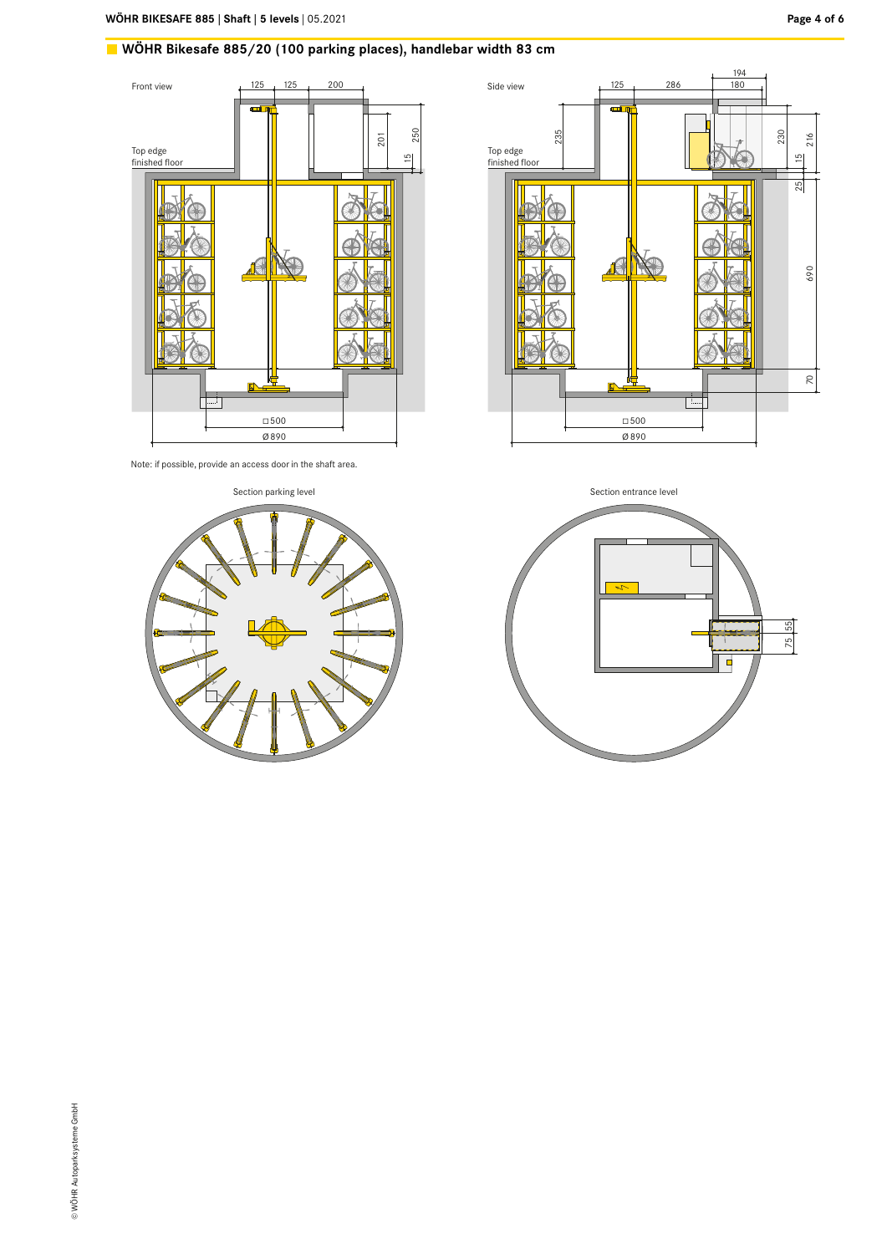# WÖHR Bikesafe 885/20 (100 parking places), handlebar width 83 cm







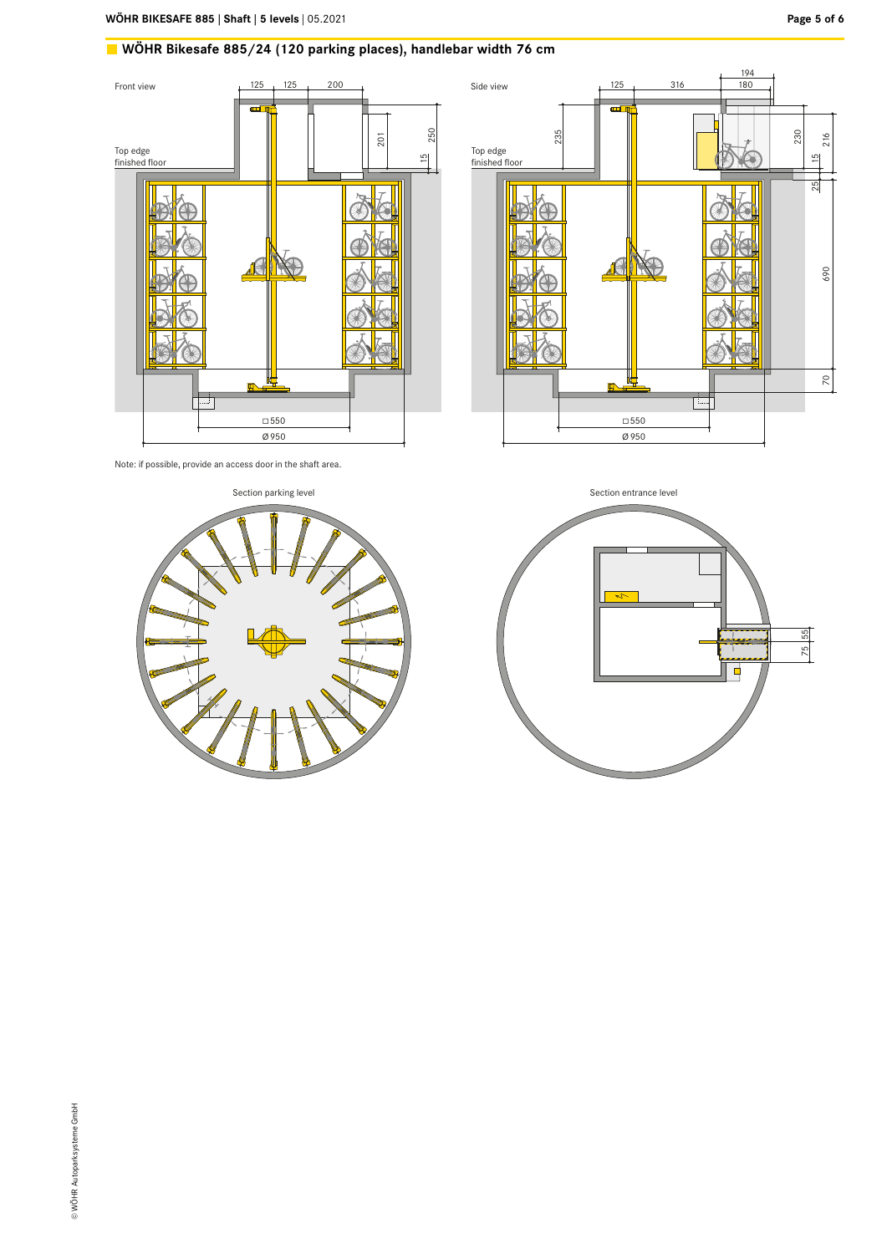# **WÖHR Bikesafe 885/24 (120 parking places), handlebar width 76 cm**